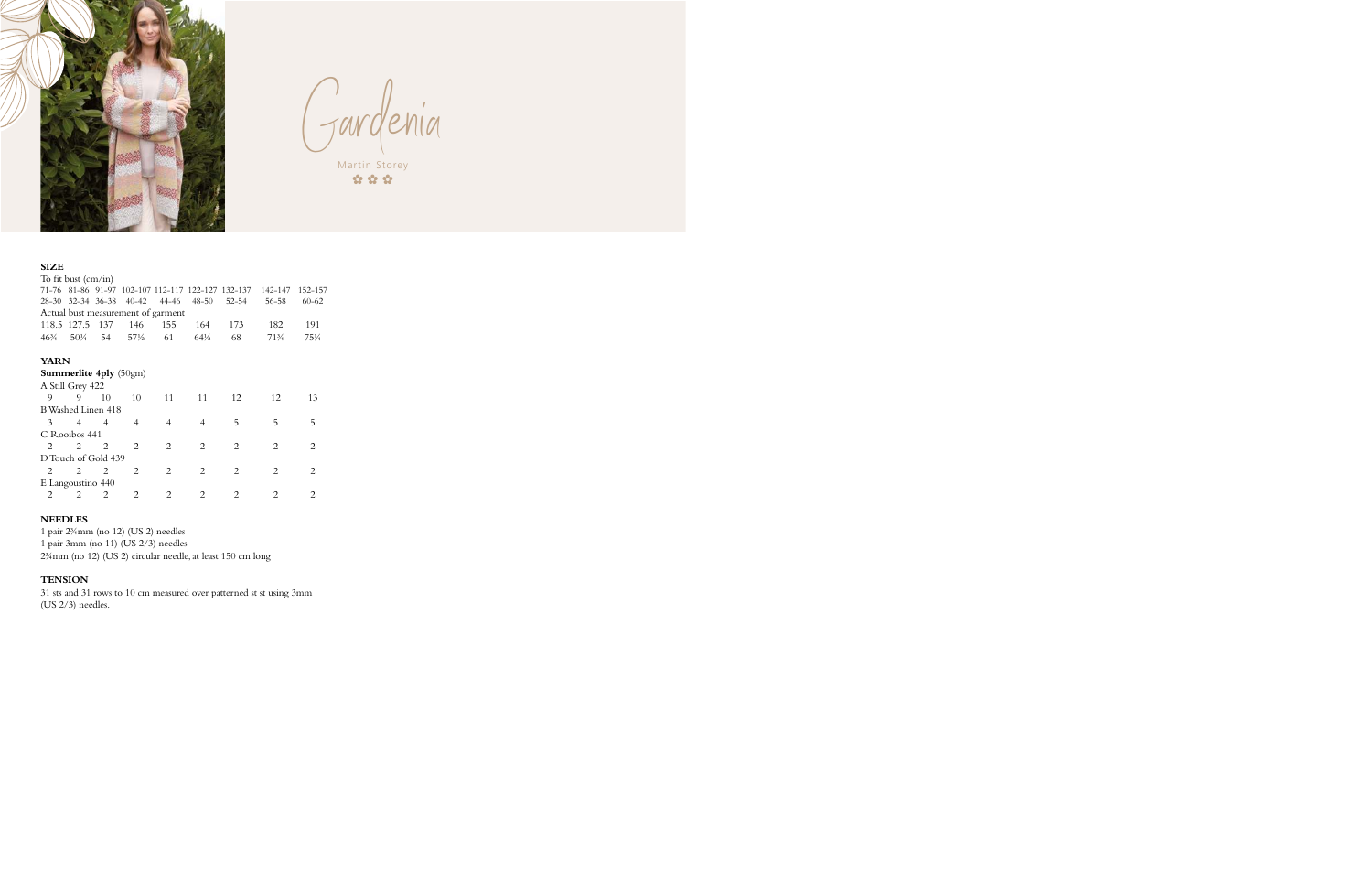

Gardenia Martin Storey

 $\alpha$   $\alpha$   $\alpha$ 

### **SIZE**

|                                    |                            |                                                                                                       |                                                                                                 |                             |                               | 142-147                     | 152-157                                           |  |  |  |  |  |  |
|------------------------------------|----------------------------|-------------------------------------------------------------------------------------------------------|-------------------------------------------------------------------------------------------------|-----------------------------|-------------------------------|-----------------------------|---------------------------------------------------|--|--|--|--|--|--|
|                                    |                            | 40-42                                                                                                 | 44-46                                                                                           | $48 - 50$                   | $52 - 54$                     | 56-58                       | $60 - 62$                                         |  |  |  |  |  |  |
| Actual bust measurement of garment |                            |                                                                                                       |                                                                                                 |                             |                               |                             |                                                   |  |  |  |  |  |  |
|                                    | 137                        | 146                                                                                                   | 155                                                                                             | 164                         | 173                           | 182                         | 191                                               |  |  |  |  |  |  |
| $50\frac{1}{4}$                    |                            |                                                                                                       | 61                                                                                              | $64\frac{1}{2}$             | 68                            | 713/4                       | 75¼                                               |  |  |  |  |  |  |
|                                    |                            |                                                                                                       |                                                                                                 |                             |                               |                             |                                                   |  |  |  |  |  |  |
|                                    |                            |                                                                                                       |                                                                                                 |                             |                               |                             |                                                   |  |  |  |  |  |  |
|                                    |                            |                                                                                                       |                                                                                                 |                             |                               |                             |                                                   |  |  |  |  |  |  |
| 9                                  | 10                         | 10                                                                                                    | 11                                                                                              | 11                          | 12                            | 12                          | 13                                                |  |  |  |  |  |  |
|                                    |                            |                                                                                                       |                                                                                                 |                             |                               |                             |                                                   |  |  |  |  |  |  |
| 4                                  |                            | 4                                                                                                     | 4                                                                                               | 4                           | 5                             | 5                           | 5                                                 |  |  |  |  |  |  |
|                                    |                            |                                                                                                       |                                                                                                 |                             |                               |                             |                                                   |  |  |  |  |  |  |
| 2                                  | 2                          | 2                                                                                                     | 2                                                                                               | $\overline{c}$              | $\overline{c}$                | 2                           | 2                                                 |  |  |  |  |  |  |
|                                    |                            |                                                                                                       |                                                                                                 |                             |                               |                             |                                                   |  |  |  |  |  |  |
| 2                                  | 2                          | 2                                                                                                     | $\overline{2}$                                                                                  | $\overline{c}$              | $\overline{c}$                | 2                           | 2                                                 |  |  |  |  |  |  |
|                                    |                            |                                                                                                       |                                                                                                 |                             |                               |                             |                                                   |  |  |  |  |  |  |
| 2                                  | 2                          | $\mathcal{D}_{\mathcal{L}}$                                                                           | $\mathcal{D}_{\mathcal{L}}$                                                                     | $\mathcal{D}_{\mathcal{L}}$ | $\mathfrak{D}_{\mathfrak{p}}$ | $\mathcal{D}_{\mathcal{L}}$ | $\mathcal{D}_{\mathcal{L}}$                       |  |  |  |  |  |  |
|                                    | 118.5 127.5<br><b>YARN</b> | To fit bust (cm/in)<br>54<br>A Still Grey 422<br>$\overline{4}$<br>C Rooibos 441<br>E Langoustino 440 | 28-30 32-34 36-38<br>57½<br>Summerlite 4ply (50gm)<br>B Washed Linen 418<br>D Touch of Gold 439 |                             |                               |                             | 71-76 81-86 91-97 102-107 112-117 122-127 132-137 |  |  |  |  |  |  |

#### **NEEDLES**

1 pair 2¾mm (no 12) (US 2) needles 1 pair 3mm (no 11) (US 2/3) needles 2¾mm (no 12) (US 2) circular needle, at least 150 cm long

#### **TENSION**

31 sts and 31 rows to 10 cm measured over patterned st st using 3mm (US 2/3) needles.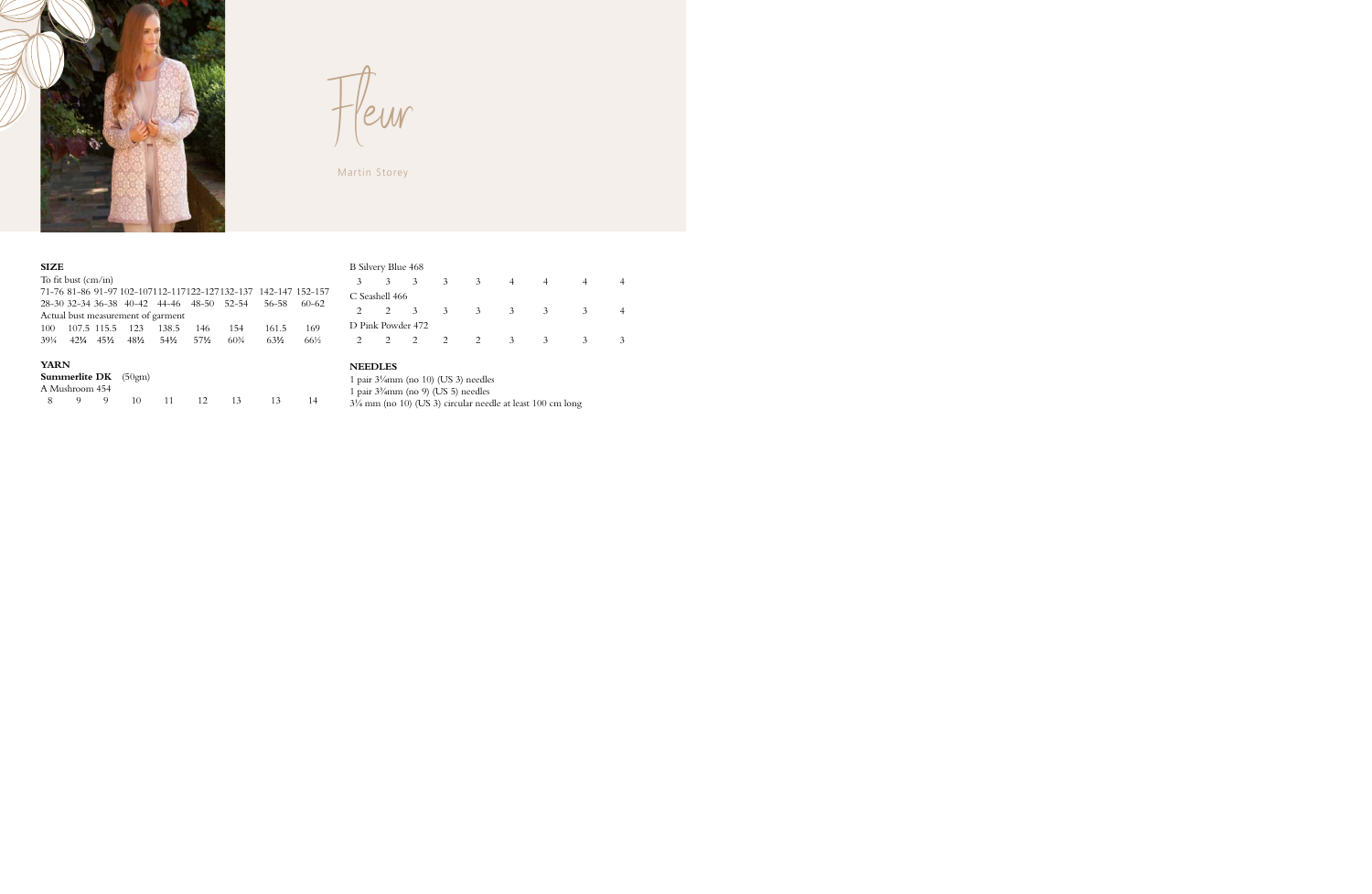

Fleur

Martin Storey

### **SIZE**

|             | To fit bust $\langle$ cm/in $\rangle$ |                 |                                  |                                    |                                           |                 |                                                                |       |
|-------------|---------------------------------------|-----------------|----------------------------------|------------------------------------|-------------------------------------------|-----------------|----------------------------------------------------------------|-------|
|             |                                       |                 |                                  |                                    |                                           |                 | 71-76 81-86 91-97 102-107112-117122-127132-137 142-147 152-157 |       |
|             |                                       |                 |                                  |                                    | 28-30 32-34 36-38 40-42 44-46 48-50 52-54 |                 | 56–58                                                          | 60-62 |
|             |                                       |                 |                                  | Actual bust measurement of garment |                                           |                 |                                                                |       |
| 100         |                                       | 107.5 115.5 123 |                                  | 138.5                              | 146                                       | 154             | 161.5                                                          | 169   |
| 39¼         | $42\frac{1}{4}$ $45\frac{1}{2}$       |                 | $48\frac{1}{2}$ 54 $\frac{1}{2}$ |                                    | 57½                                       | $60\frac{3}{4}$ | $63\frac{1}{2}$                                                | 66½   |
| <b>YARN</b> |                                       | Summerlite DK   | (50gm)                           |                                    |                                           |                 |                                                                |       |
|             | A Mushroom 454                        |                 |                                  |                                    |                                           |                 |                                                                |       |
| 8           | 9                                     | 9               | 10                               |                                    | 12.                                       | 13              | 13                                                             | 14    |

### B Silvery Blue 468

| 3             | 3 | 3                                   | 3             |   |   |   |  |
|---------------|---|-------------------------------------|---------------|---|---|---|--|
|               |   |                                     |               |   |   |   |  |
| $\mathcal{L}$ | 3 | 3                                   | 3             | 3 | 3 | 3 |  |
|               |   |                                     |               |   |   |   |  |
|               |   |                                     | $\mathcal{P}$ | 3 | 3 |   |  |
|               |   | C Seashell 466<br>D Pink Powder 472 |               |   |   |   |  |

### **NEEDLES**

1 pair 3¼mm (no 10) (US 3) needles

1 pair 3¾mm (no 9) (US 5) needles

3¼ mm (no 10) (US 3) circular needle at least 100 cm long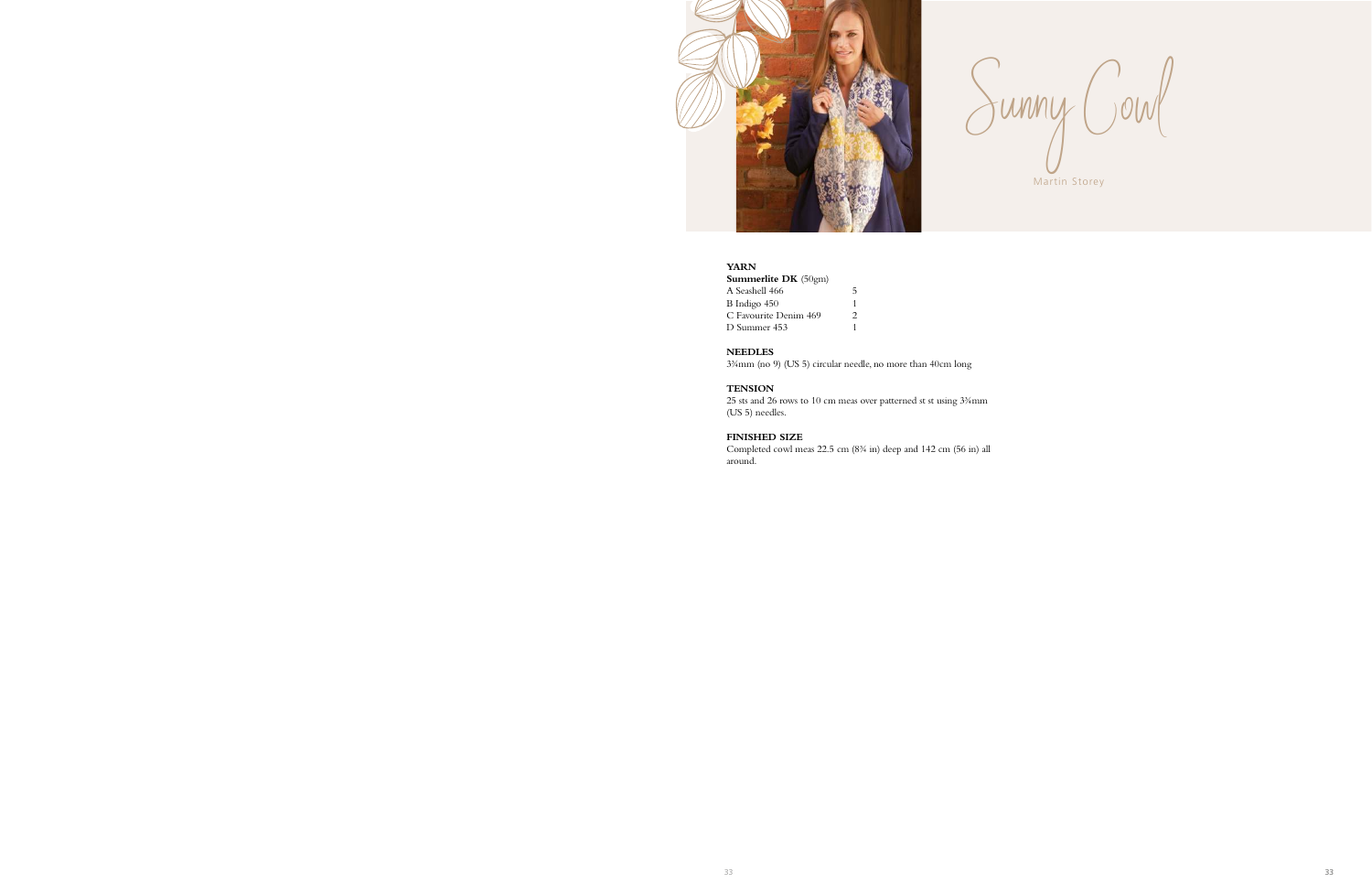

Sunny Cowl Martin Storey

# **YARN**

| <b>Summerlite DK</b> $(50gm)$ |               |
|-------------------------------|---------------|
| A Seashell 466                | 5             |
| B Indigo 450                  | 1             |
| C Favourite Denim 469         | $\mathcal{P}$ |
| D Summer 453                  | 1             |

### **NEEDLES**

3¾mm (no 9) (US 5) circular needle, no more than 40cm long

#### **TENSION**

25 sts and 26 rows to 10 cm meas over patterned st st using 3¾mm (US 5) needles.

### **FINISHED SIZE**

Completed cowl meas 22.5 cm (8¾ in) deep and 142 cm (56 in) all around.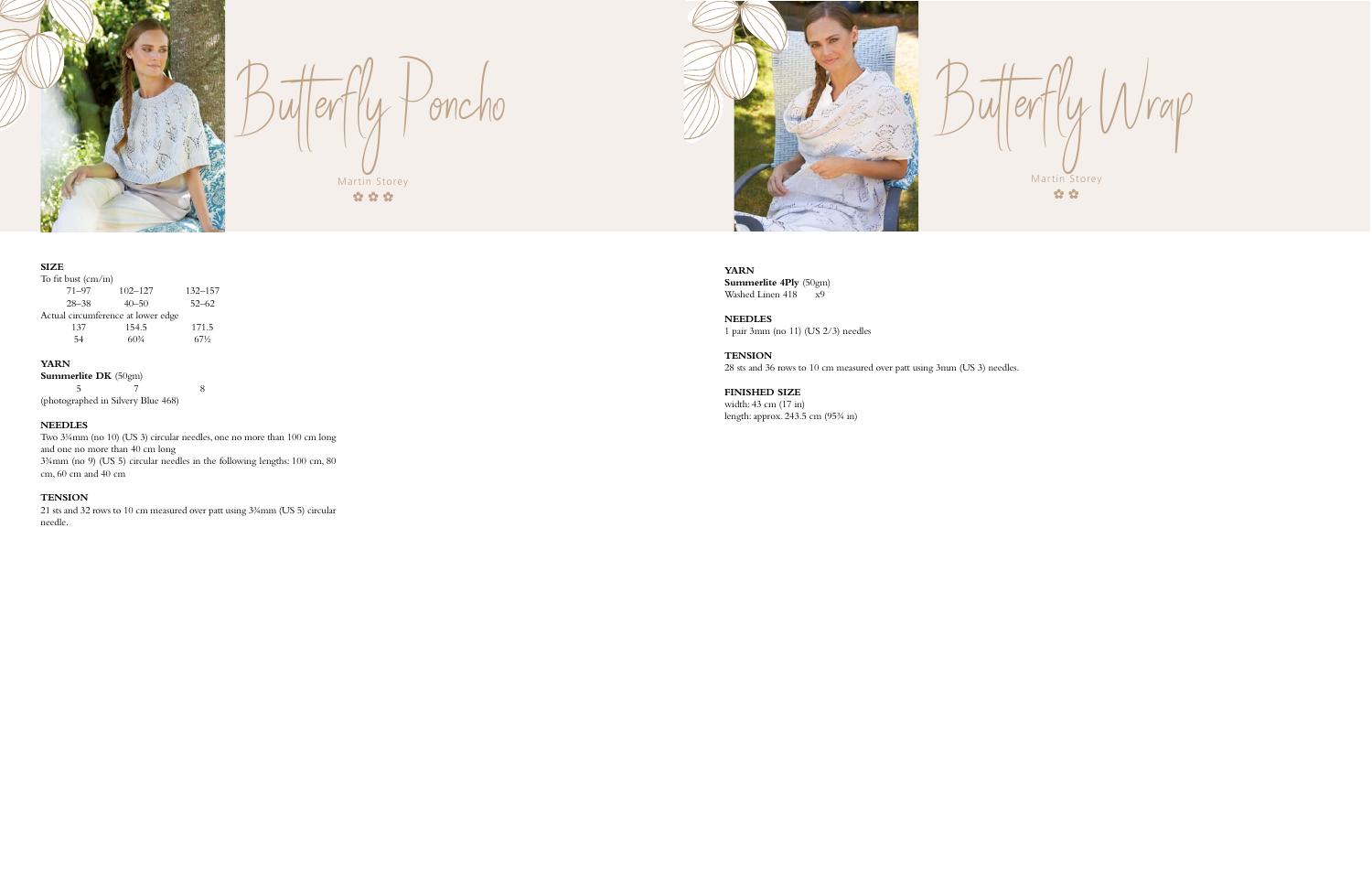

| To fit bust (cm/in)                |             |             |
|------------------------------------|-------------|-------------|
| $71 - 97$                          | $102 - 127$ | $132 - 157$ |
| $28 - 38$                          | $40 - 50$   | $52 - 62$   |
| Actual circumference at lower edge |             |             |
| 137                                | 154.5       | 171.5       |
| 54                                 | $60\%$      | 67½         |

**Summerlite DK** (50gm)  $\frac{5}{7}$ 5 7 8 (photographed in Silvery Blue 468)

### **YARN**

# **NEEDLES**



Butterfly Poncho Martin Storey  $\alpha$   $\alpha$   $\alpha$ 

Two 3¼mm (no 10) (US 3) circular needles, one no more than 100 cm long and one no more than 40 cm long 3¾mm (no 9) (US 5) circular needles in the following lengths: 100 cm, 80 cm, 60 cm and 40 cm

Butterfly Wrap Martin Storey  $\alpha$   $\alpha$ 

### **TENSION**

21 sts and 32 rows to 10 cm measured over patt using 3¾mm (US 5) circular needle.



**YARN Summerlite 4Ply** (50gm) Washed Linen 418 x9

**NEEDLES** 1 pair 3mm (no 11) (US 2/3) needles

**TENSION** 28 sts and 36 rows to 10 cm measured over patt using 3mm (US 3) needles.

**FINISHED SIZE** width: 43 cm (17 in) length: approx. 243.5 cm (95¾ in)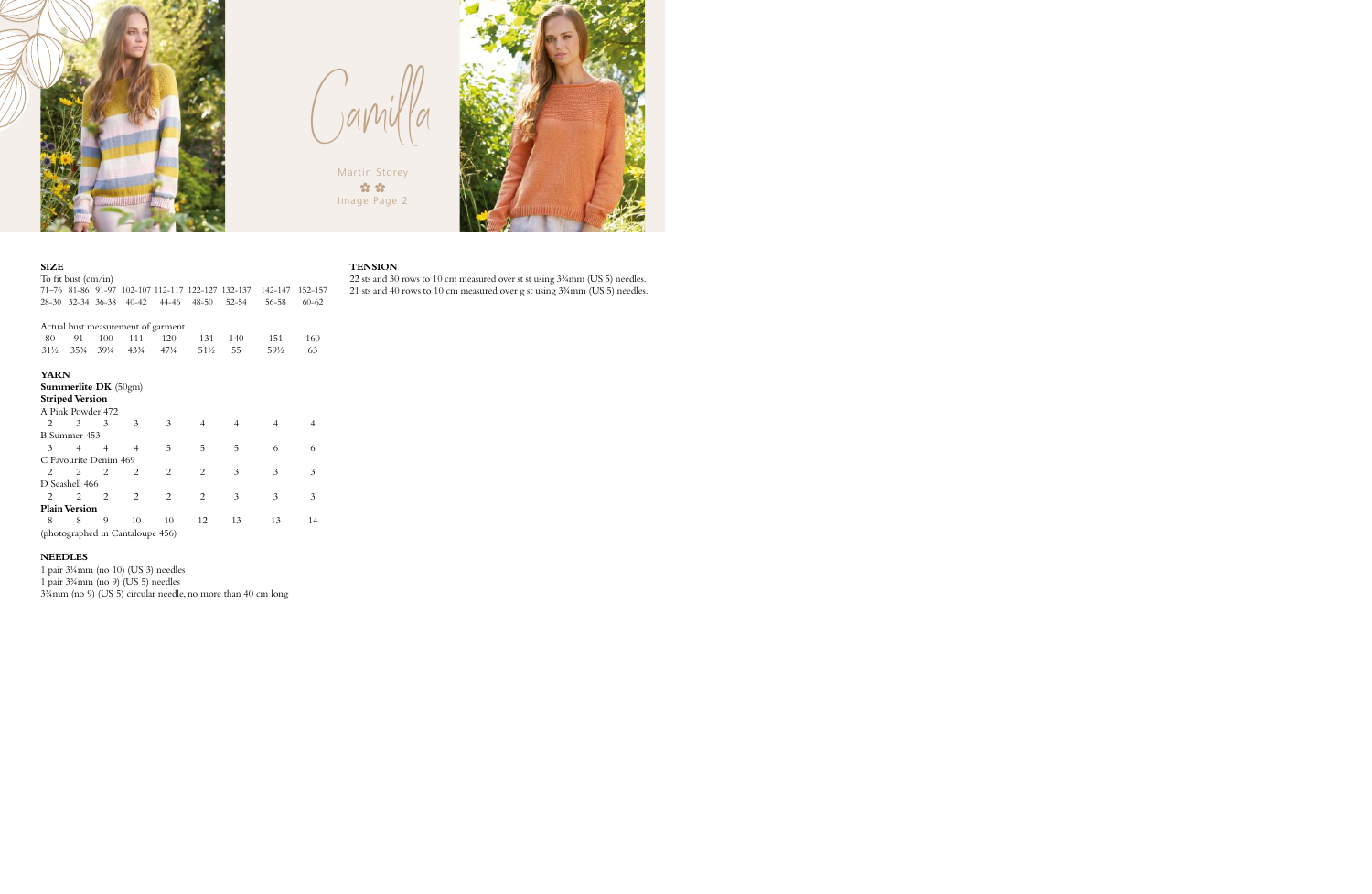

 $\bigcap_{y\in Y}$ 

Martin Storey  $\alpha$   $\alpha$ Image Page 2



### **SIZE**

|                                  | To fit bust $\text{(cm/in)}$       |                |                             |                |                |                                                   |         |           |  |  |  |
|----------------------------------|------------------------------------|----------------|-----------------------------|----------------|----------------|---------------------------------------------------|---------|-----------|--|--|--|
|                                  |                                    |                |                             |                |                | 71–76 81–86 91–97 102–107 112–117 122–127 132–137 | 142-147 | 152-157   |  |  |  |
|                                  | 28-30 32-34 36-38                  |                | $40 - 42$                   | 44-46          | $48 - 50$      | $52 - 54$                                         | 56-58   | $60 - 62$ |  |  |  |
|                                  |                                    |                |                             |                |                |                                                   |         |           |  |  |  |
|                                  | Actual bust measurement of garment |                |                             |                |                |                                                   |         |           |  |  |  |
| 80                               | 91                                 | 100            | 111                         | 120            | 131            | 140                                               | 151     | 160       |  |  |  |
| 31½ 35¾                          |                                    | 39¼            | $43\frac{3}{4}$             | 471⁄4          | 51½            | 55                                                | 59½     | 63        |  |  |  |
|                                  |                                    |                |                             |                |                |                                                   |         |           |  |  |  |
| <b>YARN</b>                      |                                    |                |                             |                |                |                                                   |         |           |  |  |  |
|                                  | <b>Summerlite DK</b> $(50gm)$      |                |                             |                |                |                                                   |         |           |  |  |  |
|                                  | <b>Striped Version</b>             |                |                             |                |                |                                                   |         |           |  |  |  |
|                                  | A Pink Powder 472                  |                |                             |                |                |                                                   |         |           |  |  |  |
| 2                                | 3                                  | 3              | 3                           | 3              | 4              | $\overline{4}$                                    | 4       | 4         |  |  |  |
|                                  | B Summer 453                       |                |                             |                |                |                                                   |         |           |  |  |  |
| 3                                | 4                                  | $\overline{4}$ | $\overline{4}$              | 5              | 5              | 5                                                 | 6       | 6         |  |  |  |
|                                  | C Favourite Denim 469              |                |                             |                |                |                                                   |         |           |  |  |  |
| $\mathfrak{D}_{\mathfrak{p}}$    | 2                                  | $\mathcal{L}$  | $\mathcal{D}_{\mathcal{L}}$ | $\overline{c}$ | $\overline{c}$ | 3                                                 | 3       | 3         |  |  |  |
|                                  | D Seashell 466                     |                |                             |                |                |                                                   |         |           |  |  |  |
| 2                                | 2                                  | 2              | $\overline{c}$              | $\overline{c}$ | $\overline{2}$ | 3                                                 | 3       | 3         |  |  |  |
|                                  | <b>Plain Version</b>               |                |                             |                |                |                                                   |         |           |  |  |  |
| 8                                | 8                                  | 9              | 10                          | 10             | 12             | 13                                                | 13      | 14        |  |  |  |
| (photographed in Cantaloupe 456) |                                    |                |                             |                |                |                                                   |         |           |  |  |  |

### **NEEDLES**

1 pair 3¼mm (no 10) (US 3) needles

1 pair 3¾mm (no 9) (US 5) needles

3¾mm (no 9) (US 5) circular needle, no more than 40 cm long

#### **TENSION**

22 sts and 30 rows to 10 cm measured over st st using 3¾mm (US 5) needles.  $21$  sts and  $40$  rows to  $10$  cm measured over g st using  $3\% {\rm mm}$  (US 5) needles.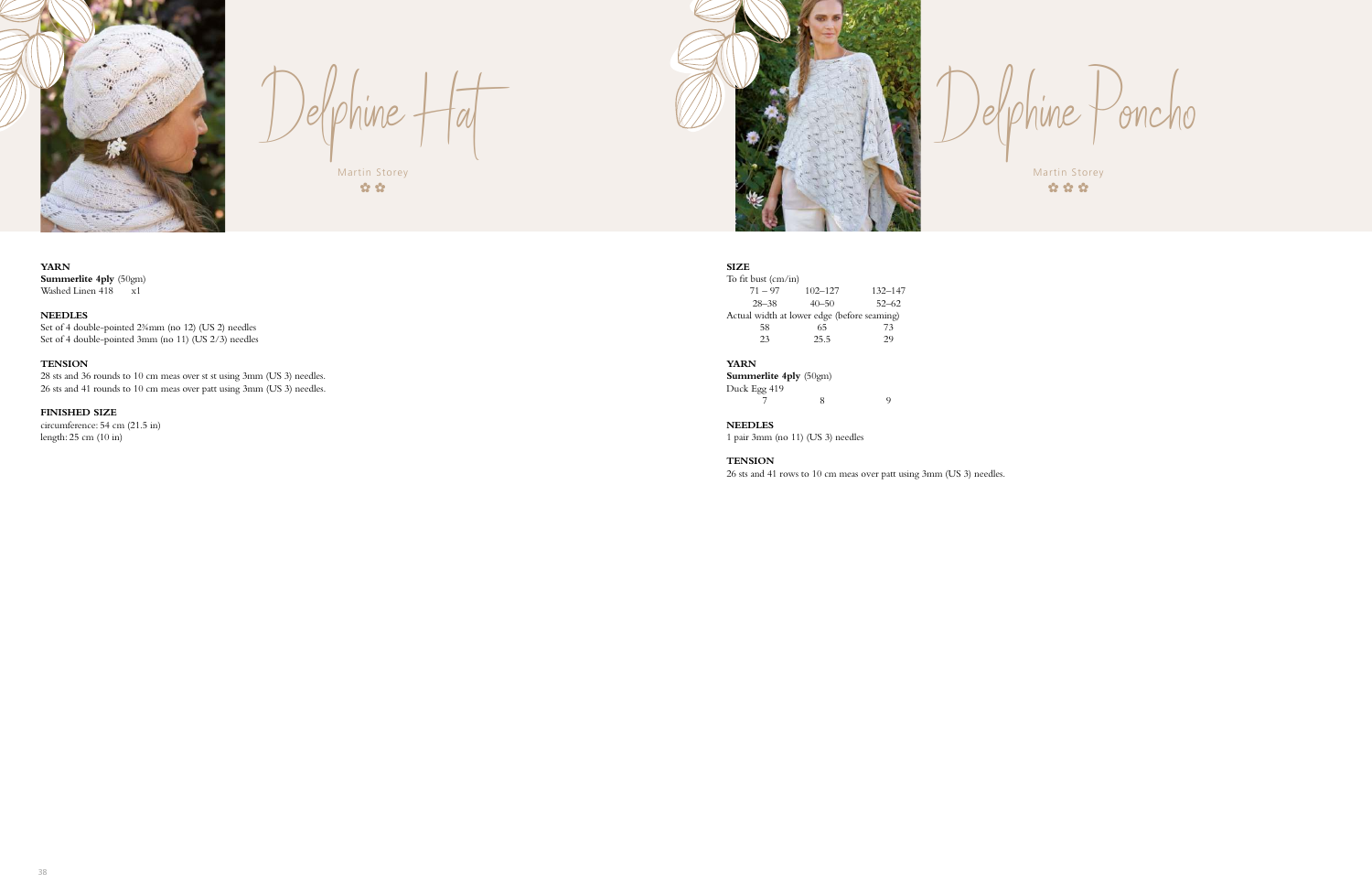**YARN Summerlite 4ply** (50gm) Washed Linen 418 x1

### **NEEDLES**

Set of 4 double-pointed 2¾mm (no 12) (US 2) needles Set of 4 double-pointed 3mm (no 11) (US 2/3) needles

### **TENSION**



 $De\{\rho hine + \lceil a \rceil \}$ Martin Storey

 $\alpha$   $\alpha$ 

To fit bust (cm/in) 71 – 97 102–127 132–147 28–38 40–50 52–62 Actual width at lower edge (before seaming)<br>58 65 73 58 65 73<br>23 25.5 29  $25.5$ 

28 sts and 36 rounds to 10 cm meas over st st using 3mm (US 3) needles. 26 sts and 41 rounds to 10 cm meas over patt using 3mm (US 3) needles.

# **FINISHED SIZE**

circumference: 54 cm (21.5 in) length: 25 cm (10 in)



Martin Storey  $\hat{\alpha} \hat{\alpha} \hat{\alpha}$ 

oncho

### **SIZE**

### **YARN**

**Summerlite 4ply** (50gm) Duck Egg 419 7 8 9

**NEEDLES**

1 pair 3mm (no 11) (US 3) needles

#### **TENSION**

26 sts and 41 rows to 10 cm meas over patt using 3mm (US 3) needles.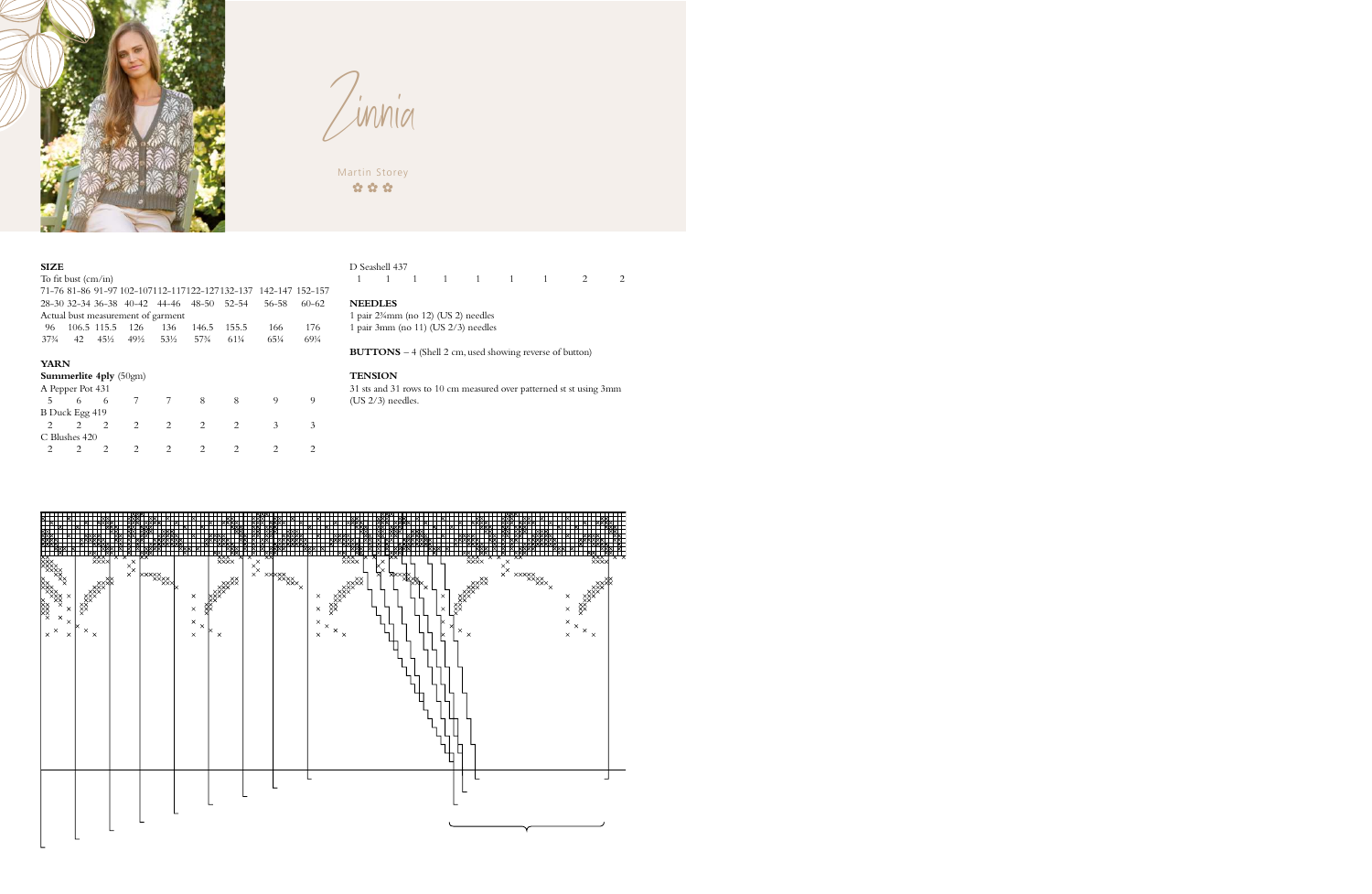

Zinnia

Martin Storey  $\alpha$   $\alpha$   $\alpha$ 

### **SIZE**

| To fit bust $\text{(cm/in)}$                                   |                               |                                                                                                                                                                 |                               |                                     |                                |                             |               |           |  |  |
|----------------------------------------------------------------|-------------------------------|-----------------------------------------------------------------------------------------------------------------------------------------------------------------|-------------------------------|-------------------------------------|--------------------------------|-----------------------------|---------------|-----------|--|--|
| 71-76 81-86 91-97 102-107112-117122-127132-137 142-147 152-157 |                               |                                                                                                                                                                 |                               |                                     |                                |                             |               |           |  |  |
|                                                                |                               |                                                                                                                                                                 |                               | 28-30 32-34 36-38 40-42 44-46 48-50 |                                | $52 - 54$                   | 56–58         | $60 - 62$ |  |  |
|                                                                |                               |                                                                                                                                                                 |                               | Actual bust measurement of garment  |                                |                             |               |           |  |  |
| 96                                                             |                               | 106.5 115.5 126                                                                                                                                                 |                               | 136                                 | 146.5                          | 155.5                       | 166           | 176       |  |  |
| $37\frac{3}{4}$                                                |                               |                                                                                                                                                                 |                               | 42 45½ 49½ 53½                      | 57 <sup>3</sup> / <sub>4</sub> | 61¼                         | 651/4         | 691/4     |  |  |
|                                                                |                               |                                                                                                                                                                 |                               |                                     |                                |                             |               |           |  |  |
| <b>YARN</b>                                                    |                               |                                                                                                                                                                 |                               |                                     |                                |                             |               |           |  |  |
|                                                                | <b>Summerlite 4ply</b> (50gm) |                                                                                                                                                                 |                               |                                     |                                |                             |               |           |  |  |
|                                                                | A Pepper Pot 431              |                                                                                                                                                                 |                               |                                     |                                |                             |               |           |  |  |
| 5.                                                             | 6                             | -6                                                                                                                                                              | 7                             | 7                                   | 8                              | 8                           | 9             | 9         |  |  |
|                                                                | B Duck Egg 419                |                                                                                                                                                                 |                               |                                     |                                |                             |               |           |  |  |
| $\mathfrak{D}_{\mathfrak{p}}$                                  | $\mathfrak{D}_{\mathfrak{p}}$ | $\mathfrak{D}_{\mathfrak{p}}$                                                                                                                                   | $\mathfrak{D}_{\mathfrak{p}}$ | $\mathfrak{D}_{\mathfrak{p}}$       | $\mathfrak{D}_{\mathfrak{p}}$  | $\mathcal{D}_{\mathcal{L}}$ | 3             | 3         |  |  |
|                                                                | C Blushes 420                 |                                                                                                                                                                 |                               |                                     |                                |                             |               |           |  |  |
|                                                                | $\mathcal{D}_{\mathcal{L}}$   | $\mathcal{D}_{\mathcal{A}}^{\mathcal{A}}(\mathcal{A})=\mathcal{D}_{\mathcal{A}}^{\mathcal{A}}(\mathcal{A})\mathcal{D}_{\mathcal{A}}^{\mathcal{A}}(\mathcal{A})$ | 2                             | 2                                   | $\mathfrak{D}$                 | 2                           | $\mathcal{P}$ |           |  |  |

### D Seashell 437

|  |  |  | $1 \quad 1 \quad 1 \quad 1 \quad 1 \quad 1 \quad 1 \quad 1 \quad 2 \quad 2$ |  |
|--|--|--|-----------------------------------------------------------------------------|--|
|  |  |  |                                                                             |  |

# **NEEDLES**

1 pair 2¾mm (no 12) (US 2) needles 1 pair 3mm (no 11) (US 2/3) needles

**BUTTONS** – 4 (Shell 2 cm, used showing reverse of button)

# **TENSION**

31 sts and 31 rows to 10 cm measured over patterned st st using 3mm (US 2/3) needles.